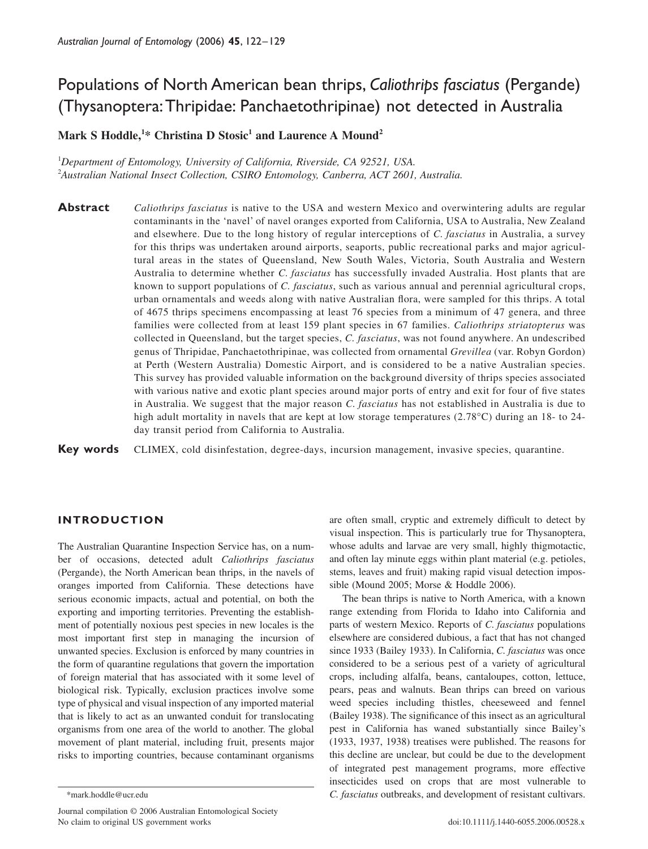# Populations of North American bean thrips, *Caliothrips fasciatus* (Pergande) (Thysanoptera: Thripidae: Panchaetothripinae) not detected in Australia

**Mark S Hoddle,1 \* Christina D Stosic1 and Laurence A Mound2**

<sup>1</sup>Department of Entomology, University of California, Riverside, CA 92521, USA. 2 *Australian National Insect Collection, CSIRO Entomology, Canberra, ACT 2601, Australia.*

**Abstract** *Caliothrips fasciatus* is native to the USA and western Mexico and overwintering adults are regular contaminants in the 'navel' of navel oranges exported from California, USA to Australia, New Zealand and elsewhere. Due to the long history of regular interceptions of *C. fasciatus* in Australia, a survey for this thrips was undertaken around airports, seaports, public recreational parks and major agricultural areas in the states of Queensland, New South Wales, Victoria, South Australia and Western Australia to determine whether *C. fasciatus* has successfully invaded Australia. Host plants that are known to support populations of *C. fasciatus*, such as various annual and perennial agricultural crops, urban ornamentals and weeds along with native Australian flora, were sampled for this thrips. A total of 4675 thrips specimens encompassing at least 76 species from a minimum of 47 genera, and three families were collected from at least 159 plant species in 67 families. *Caliothrips striatopterus* was collected in Queensland, but the target species, *C. fasciatus*, was not found anywhere. An undescribed genus of Thripidae, Panchaetothripinae, was collected from ornamental *Grevillea* (var. Robyn Gordon) at Perth (Western Australia) Domestic Airport, and is considered to be a native Australian species. This survey has provided valuable information on the background diversity of thrips species associated with various native and exotic plant species around major ports of entry and exit for four of five states in Australia. We suggest that the major reason *C. fasciatus* has not established in Australia is due to high adult mortality in navels that are kept at low storage temperatures (2.78°C) during an 18- to 24day transit period from California to Australia.

**Key words** CLIMEX, cold disinfestation, degree-days, incursion management, invasive species, quarantine.

# **INTRODUCTION**

The Australian Quarantine Inspection Service has, on a number of occasions, detected adult *Caliothrips fasciatus* (Pergande), the North American bean thrips, in the navels of oranges imported from California. These detections have serious economic impacts, actual and potential, on both the exporting and importing territories. Preventing the establishment of potentially noxious pest species in new locales is the most important first step in managing the incursion of unwanted species. Exclusion is enforced by many countries in the form of quarantine regulations that govern the importation of foreign material that has associated with it some level of biological risk. Typically, exclusion practices involve some type of physical and visual inspection of any imported material that is likely to act as an unwanted conduit for translocating organisms from one area of the world to another. The global movement of plant material, including fruit, presents major risks to importing countries, because contaminant organisms

Journal compilation © 2006 Australian Entomological Society No claim to original US government works doi:10.1111/j.1440-6055.2006.00528.x

are often small, cryptic and extremely difficult to detect by visual inspection. This is particularly true for Thysanoptera, whose adults and larvae are very small, highly thigmotactic, and often lay minute eggs within plant material (e.g. petioles, stems, leaves and fruit) making rapid visual detection impossible (Mound 2005; Morse & Hoddle 2006).

The bean thrips is native to North America, with a known range extending from Florida to Idaho into California and parts of western Mexico. Reports of *C. fasciatus* populations elsewhere are considered dubious, a fact that has not changed since 1933 (Bailey 1933). In California, *C. fasciatus* was once considered to be a serious pest of a variety of agricultural crops, including alfalfa, beans, cantaloupes, cotton, lettuce, pears, peas and walnuts. Bean thrips can breed on various weed species including thistles, cheeseweed and fennel (Bailey 1938). The significance of this insect as an agricultural pest in California has waned substantially since Bailey's (1933, 1937, 1938) treatises were published. The reasons for this decline are unclear, but could be due to the development of integrated pest management programs, more effective insecticides used on crops that are most vulnerable to *C. fasciatus* outbreaks, and development of resistant cultivars.

<sup>\*</sup>mark.hoddle@ucr.edu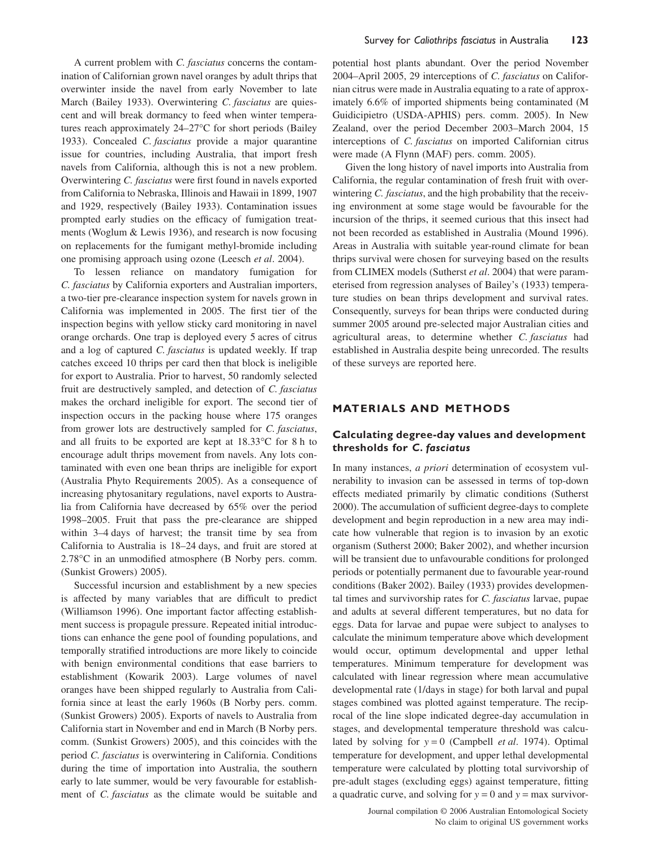A current problem with *C. fasciatus* concerns the contamination of Californian grown navel oranges by adult thrips that overwinter inside the navel from early November to late March (Bailey 1933). Overwintering *C. fasciatus* are quiescent and will break dormancy to feed when winter temperatures reach approximately 24–27°C for short periods (Bailey 1933). Concealed *C. fasciatus* provide a major quarantine issue for countries, including Australia, that import fresh navels from California, although this is not a new problem. Overwintering *C. fasciatus* were first found in navels exported from California to Nebraska, Illinois and Hawaii in 1899, 1907 and 1929, respectively (Bailey 1933). Contamination issues prompted early studies on the efficacy of fumigation treatments (Woglum & Lewis 1936), and research is now focusing on replacements for the fumigant methyl-bromide including one promising approach using ozone (Leesch *et al*. 2004).

To lessen reliance on mandatory fumigation for *C. fasciatus* by California exporters and Australian importers, a two-tier pre-clearance inspection system for navels grown in California was implemented in 2005. The first tier of the inspection begins with yellow sticky card monitoring in navel orange orchards. One trap is deployed every 5 acres of citrus and a log of captured *C. fasciatus* is updated weekly. If trap catches exceed 10 thrips per card then that block is ineligible for export to Australia. Prior to harvest, 50 randomly selected fruit are destructively sampled, and detection of *C. fasciatus* makes the orchard ineligible for export. The second tier of inspection occurs in the packing house where 175 oranges from grower lots are destructively sampled for *C. fasciatus*, and all fruits to be exported are kept at 18.33°C for 8 h to encourage adult thrips movement from navels. Any lots contaminated with even one bean thrips are ineligible for export (Australia Phyto Requirements 2005). As a consequence of increasing phytosanitary regulations, navel exports to Australia from California have decreased by 65% over the period 1998–2005. Fruit that pass the pre-clearance are shipped within 3–4 days of harvest; the transit time by sea from California to Australia is 18–24 days, and fruit are stored at 2.78°C in an unmodified atmosphere (B Norby pers. comm. (Sunkist Growers) 2005).

Successful incursion and establishment by a new species is affected by many variables that are difficult to predict (Williamson 1996). One important factor affecting establishment success is propagule pressure. Repeated initial introductions can enhance the gene pool of founding populations, and temporally stratified introductions are more likely to coincide with benign environmental conditions that ease barriers to establishment (Kowarik 2003). Large volumes of navel oranges have been shipped regularly to Australia from California since at least the early 1960s (B Norby pers. comm. (Sunkist Growers) 2005). Exports of navels to Australia from California start in November and end in March (B Norby pers. comm. (Sunkist Growers) 2005), and this coincides with the period *C. fasciatus* is overwintering in California. Conditions during the time of importation into Australia, the southern early to late summer, would be very favourable for establishment of *C. fasciatus* as the climate would be suitable and potential host plants abundant. Over the period November 2004–April 2005, 29 interceptions of *C. fasciatus* on Californian citrus were made in Australia equating to a rate of approximately 6.6% of imported shipments being contaminated (M Guidicipietro (USDA-APHIS) pers. comm. 2005). In New Zealand, over the period December 2003–March 2004, 15 interceptions of *C. fasciatus* on imported Californian citrus were made (A Flynn (MAF) pers. comm. 2005).

Given the long history of navel imports into Australia from California, the regular contamination of fresh fruit with overwintering *C. fasciatus*, and the high probability that the receiving environment at some stage would be favourable for the incursion of the thrips, it seemed curious that this insect had not been recorded as established in Australia (Mound 1996). Areas in Australia with suitable year-round climate for bean thrips survival were chosen for surveying based on the results from CLIMEX models (Sutherst *et al*. 2004) that were parameterised from regression analyses of Bailey's (1933) temperature studies on bean thrips development and survival rates. Consequently, surveys for bean thrips were conducted during summer 2005 around pre-selected major Australian cities and agricultural areas, to determine whether *C. fasciatus* had established in Australia despite being unrecorded. The results of these surveys are reported here.

## **MATERIALS AND METHODS**

## **Calculating degree-day values and development thresholds for** *C. fasciatus*

In many instances, *a priori* determination of ecosystem vulnerability to invasion can be assessed in terms of top-down effects mediated primarily by climatic conditions (Sutherst 2000). The accumulation of sufficient degree-days to complete development and begin reproduction in a new area may indicate how vulnerable that region is to invasion by an exotic organism (Sutherst 2000; Baker 2002), and whether incursion will be transient due to unfavourable conditions for prolonged periods or potentially permanent due to favourable year-round conditions (Baker 2002). Bailey (1933) provides developmental times and survivorship rates for *C. fasciatus* larvae, pupae and adults at several different temperatures, but no data for eggs. Data for larvae and pupae were subject to analyses to calculate the minimum temperature above which development would occur, optimum developmental and upper lethal temperatures. Minimum temperature for development was calculated with linear regression where mean accumulative developmental rate (1/days in stage) for both larval and pupal stages combined was plotted against temperature. The reciprocal of the line slope indicated degree-day accumulation in stages, and developmental temperature threshold was calculated by solving for *y* = 0 (Campbell *et al*. 1974). Optimal temperature for development, and upper lethal developmental temperature were calculated by plotting total survivorship of pre-adult stages (excluding eggs) against temperature, fitting a quadratic curve, and solving for  $y = 0$  and  $y = max$  survivor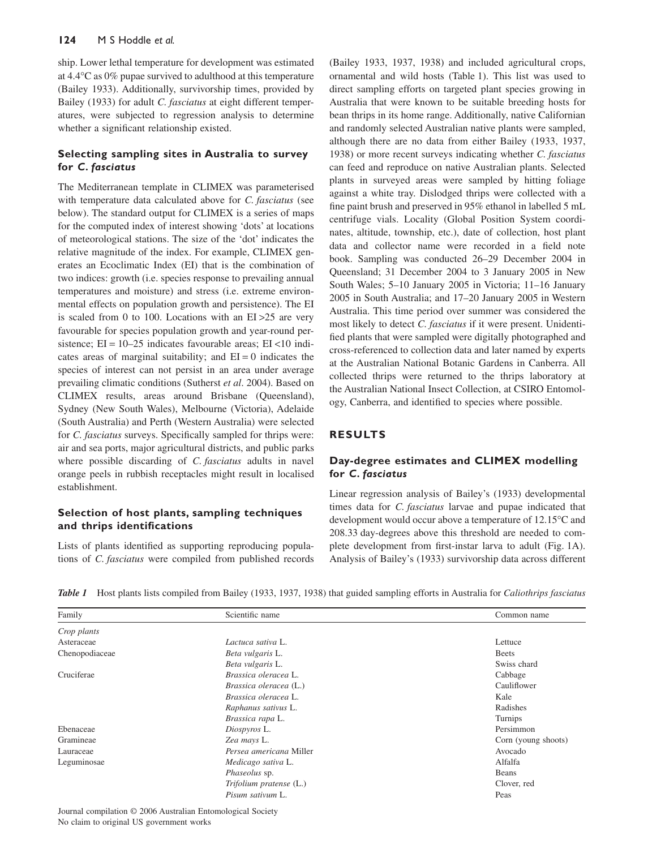ship. Lower lethal temperature for development was estimated at 4.4°C as 0% pupae survived to adulthood at this temperature (Bailey 1933). Additionally, survivorship times, provided by Bailey (1933) for adult *C. fasciatus* at eight different temperatures, were subjected to regression analysis to determine whether a significant relationship existed.

## **Selecting sampling sites in Australia to survey for** *C. fasciatus*

The Mediterranean template in CLIMEX was parameterised with temperature data calculated above for *C. fasciatus* (see below). The standard output for CLIMEX is a series of maps for the computed index of interest showing 'dots' at locations of meteorological stations. The size of the 'dot' indicates the relative magnitude of the index. For example, CLIMEX generates an Ecoclimatic Index (EI) that is the combination of two indices: growth (i.e. species response to prevailing annual temperatures and moisture) and stress (i.e. extreme environmental effects on population growth and persistence). The EI is scaled from 0 to 100. Locations with an EI >25 are very favourable for species population growth and year-round persistence;  $EI = 10-25$  indicates favourable areas;  $EI < 10$  indicates areas of marginal suitability; and  $EI = 0$  indicates the species of interest can not persist in an area under average prevailing climatic conditions (Sutherst *et al*. 2004). Based on CLIMEX results, areas around Brisbane (Queensland), Sydney (New South Wales), Melbourne (Victoria), Adelaide (South Australia) and Perth (Western Australia) were selected for *C. fasciatus* surveys. Specifically sampled for thrips were: air and sea ports, major agricultural districts, and public parks where possible discarding of *C. fasciatus* adults in navel orange peels in rubbish receptacles might result in localised establishment.

#### **Selection of host plants, sampling techniques and thrips identifications**

Lists of plants identified as supporting reproducing populations of *C. fasciatus* were compiled from published records (Bailey 1933, 1937, 1938) and included agricultural crops, ornamental and wild hosts (Table 1). This list was used to direct sampling efforts on targeted plant species growing in Australia that were known to be suitable breeding hosts for bean thrips in its home range. Additionally, native Californian and randomly selected Australian native plants were sampled, although there are no data from either Bailey (1933, 1937, 1938) or more recent surveys indicating whether *C. fasciatus* can feed and reproduce on native Australian plants. Selected plants in surveyed areas were sampled by hitting foliage against a white tray. Dislodged thrips were collected with a fine paint brush and preserved in 95% ethanol in labelled 5 mL centrifuge vials. Locality (Global Position System coordinates, altitude, township, etc.), date of collection, host plant data and collector name were recorded in a field note book. Sampling was conducted 26–29 December 2004 in Queensland; 31 December 2004 to 3 January 2005 in New South Wales; 5–10 January 2005 in Victoria; 11–16 January 2005 in South Australia; and 17–20 January 2005 in Western Australia. This time period over summer was considered the most likely to detect *C. fasciatus* if it were present. Unidentified plants that were sampled were digitally photographed and cross-referenced to collection data and later named by experts at the Australian National Botanic Gardens in Canberra. All collected thrips were returned to the thrips laboratory at the Australian National Insect Collection, at CSIRO Entomology, Canberra, and identified to species where possible.

# **RESULTS**

## **Day-degree estimates and CLIMEX modelling for** *C. fasciatus*

Linear regression analysis of Bailey's (1933) developmental times data for *C. fasciatus* larvae and pupae indicated that development would occur above a temperature of 12.15°C and 208.33 day-degrees above this threshold are needed to complete development from first-instar larva to adult (Fig. 1A). Analysis of Bailey's (1933) survivorship data across different

|  |  | Table 1 Host plants lists compiled from Bailey (1933, 1937, 1938) that guided sampling efforts in Australia for Caliothrips fasciatus |  |  |  |  |  |  |  |  |  |  |  |
|--|--|---------------------------------------------------------------------------------------------------------------------------------------|--|--|--|--|--|--|--|--|--|--|--|
|--|--|---------------------------------------------------------------------------------------------------------------------------------------|--|--|--|--|--|--|--|--|--|--|--|

| Family         | Scientific name         | Common name         |  |  |
|----------------|-------------------------|---------------------|--|--|
| Crop plants    |                         |                     |  |  |
| Asteraceae     | Lactuca sativa L.       | Lettuce             |  |  |
| Chenopodiaceae | Beta vulgaris L.        | <b>Beets</b>        |  |  |
|                | Beta vulgaris L.        | Swiss chard         |  |  |
| Cruciferae     | Brassica oleracea L.    | Cabbage             |  |  |
|                | Brassica oleracea (L.)  | Cauliflower         |  |  |
|                | Brassica oleracea L.    | Kale                |  |  |
|                | Raphanus sativus L.     | Radishes            |  |  |
|                | Brassica rapa L.        | Turnips             |  |  |
| Ebenaceae      | Diospyros L.            | Persimmon           |  |  |
| Gramineae      | Zea mays L.             | Corn (young shoots) |  |  |
| Lauraceae      | Persea americana Miller | Avocado             |  |  |
| Leguminosae    | Medicago sativa L.      | Alfalfa             |  |  |
|                | Phaseolus sp.           | Beans               |  |  |
|                | Trifolium pratense (L.) | Clover, red         |  |  |
|                | Pisum sativum L.        | Peas                |  |  |

Journal compilation © 2006 Australian Entomological Society No claim to original US government works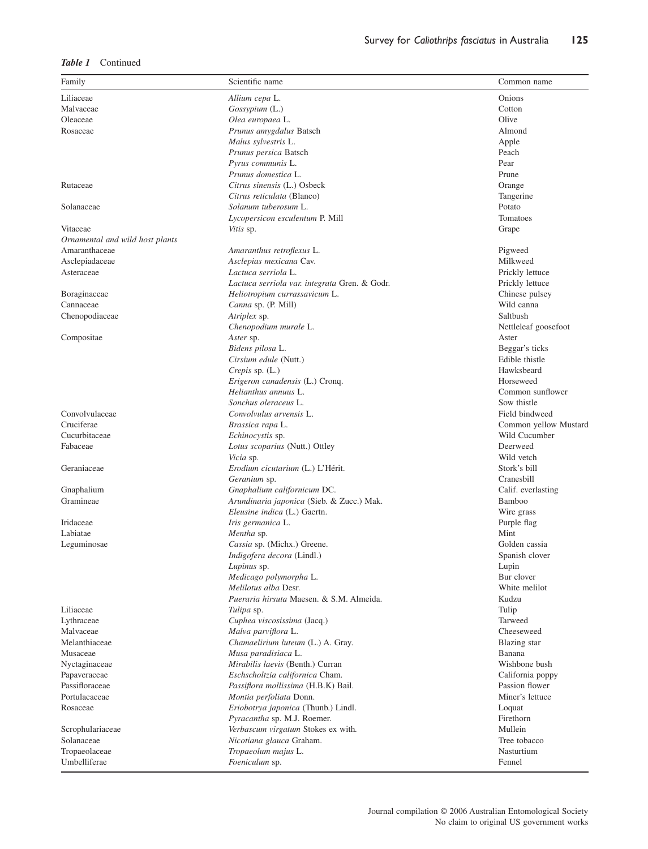#### *Table 1* Continued

| Family                          | Scientific name                               | Common name           |
|---------------------------------|-----------------------------------------------|-----------------------|
| Liliaceae                       | Allium cepa L.                                | Onions                |
| Malvaceae                       | Gossypium (L.)                                | Cotton                |
| Oleaceae                        | Olea europaea L.                              | Olive                 |
| Rosaceae                        | Prunus amygdalus Batsch                       | Almond                |
|                                 | Malus sylvestris L.                           | Apple                 |
|                                 | Prunus persica Batsch                         | Peach                 |
|                                 | Pyrus communis L.                             | Pear                  |
|                                 | Prunus domestica L.                           | Prune                 |
| Rutaceae                        | Citrus sinensis (L.) Osbeck                   | Orange                |
|                                 | Citrus reticulata (Blanco)                    | Tangerine             |
| Solanaceae                      | Solanum tuberosum L.                          | Potato                |
|                                 | Lycopersicon esculentum P. Mill               | Tomatoes              |
| Vitaceae                        | Vitis sp.                                     | Grape                 |
| Ornamental and wild host plants |                                               |                       |
| Amaranthaceae                   | Amaranthus retroflexus L.                     | Pigweed               |
| Asclepiadaceae                  | Asclepias mexicana Cav.                       | Milkweed              |
| Asteraceae                      | Lactuca serriola L.                           | Prickly lettuce       |
|                                 | Lactuca serriola var. integrata Gren. & Godr. | Prickly lettuce       |
| Boraginaceae                    | Heliotropium currassavicum L.                 | Chinese pulsey        |
| Cannaceae                       | Canna sp. (P. Mill)                           | Wild canna            |
| Chenopodiaceae                  | Atriplex sp.                                  | Saltbush              |
|                                 | Chenopodium murale L.                         | Nettleleaf goosefoot  |
| Compositae                      | Aster sp.                                     | Aster                 |
|                                 | Bidens pilosa L.                              | Beggar's ticks        |
|                                 | Cirsium edule (Nutt.)                         | Edible thistle        |
|                                 | Crepis sp. $(L.)$                             | Hawksbeard            |
|                                 | Erigeron canadensis (L.) Cronq.               | Horseweed             |
|                                 | Helianthus annuus L.                          | Common sunflower      |
|                                 | Sonchus oleraceus L.                          | Sow thistle           |
| Convolvulaceae                  | Convolvulus arvensis L.                       | Field bindweed        |
| Cruciferae                      | Brassica rapa L.                              | Common yellow Mustard |
| Cucurbitaceae                   | Echinocystis sp.                              | Wild Cucumber         |
| Fabaceae                        | Lotus scoparius (Nutt.) Ottley                | Deerweed              |
|                                 | <i>Vicia</i> sp.                              | Wild vetch            |
| Geraniaceae                     | Erodium cicutarium (L.) L'Hérit.              | Stork's bill          |
|                                 | Geranium sp.                                  | Cranesbill            |
| Gnaphalium                      | Gnaphalium californicum DC.                   | Calif. everlasting    |
| Gramineae                       | Arundinaria japonica (Sieb. & Zucc.) Mak.     | Bamboo                |
|                                 | Eleusine indica (L.) Gaertn.                  | Wire grass            |
| Iridaceae                       | Iris germanica L.                             | Purple flag           |
| Labiatae                        | Mentha sp.                                    | Mint                  |
| Leguminosae                     | Cassia sp. (Michx.) Greene.                   | Golden cassia         |
|                                 | Indigofera decora (Lindl.)                    | Spanish clover        |
|                                 | Lupinus sp.                                   | Lupin                 |
|                                 | Medicago polymorpha L.                        | Bur clover            |
|                                 | Melilotus alba Desr.                          | White melilot         |
|                                 | Pueraria hirsuta Maesen. & S.M. Almeida.      | Kudzu                 |
| Liliaceae                       | Tulipa sp.                                    | Tulip                 |
| Lythraceae                      | Cuphea viscosissima (Jacq.)                   | Tarweed               |
| Malvaceae                       | Malva parviflora L.                           | Cheeseweed            |
| Melanthiaceae                   | Chamaelirium luteum (L.) A. Gray.             | Blazing star          |
| Musaceae                        | Musa paradisiaca L.                           | Banana                |
| Nyctaginaceae                   | Mirabilis laevis (Benth.) Curran              | Wishbone bush         |
| Papaveraceae                    | Eschscholtzia californica Cham.               | California poppy      |
| Passifloraceae                  | Passiflora mollissima (H.B.K) Bail.           | Passion flower        |
| Portulacaceae                   | <i>Montia perfoliata Donn.</i>                | Miner's lettuce       |
| Rosaceae                        | Eriobotrya japonica (Thunb.) Lindl.           | Loquat                |
|                                 | Pyracantha sp. M.J. Roemer.                   | Firethorn             |
| Scrophulariaceae                | Verbascum virgatum Stokes ex with.            | Mullein               |
| Solanaceae                      | Nicotiana glauca Graham.                      | Tree tobacco          |
| Tropaeolaceae                   | Tropaeolum majus L.                           | Nasturtium            |
| Umbelliferae                    | Foeniculum sp.                                | Fennel                |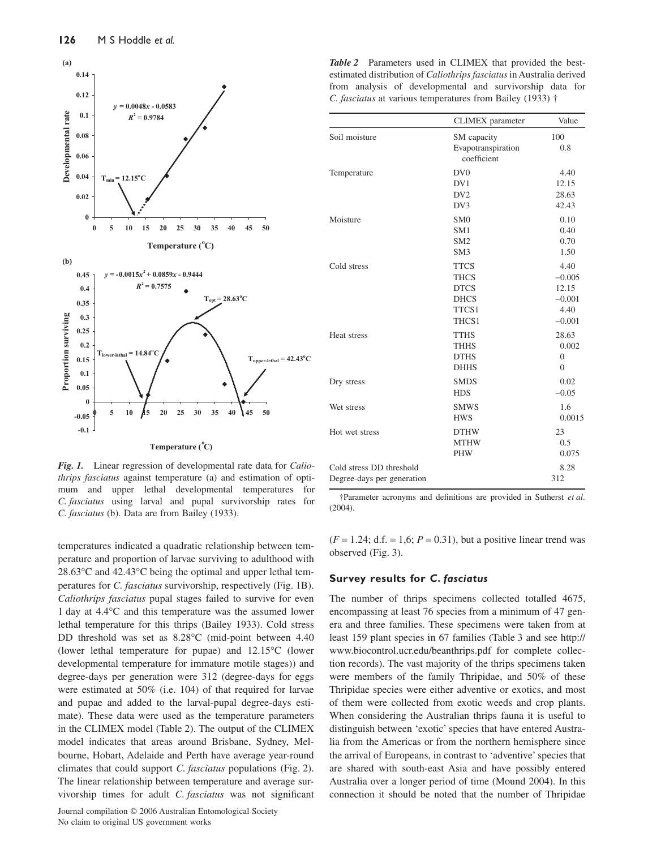

*Fig. 1.* Linear regression of developmental rate data for *Caliothrips fasciatus* against temperature (a) and estimation of optimum and upper lethal developmental temperatures for *C. fasciatus* using larval and pupal survivorship rates for *C. fasciatus* (b). Data are from Bailey (1933).

temperatures indicated a quadratic relationship between temperature and proportion of larvae surviving to adulthood with 28.63°C and 42.43°C being the optimal and upper lethal temperatures for *C. fasciatus* survivorship, respectively (Fig. 1B). *Caliothrips fasciatus* pupal stages failed to survive for even 1 day at 4.4°C and this temperature was the assumed lower lethal temperature for this thrips (Bailey 1933). Cold stress DD threshold was set as 8.28°C (mid-point between 4.40 (lower lethal temperature for pupae) and 12.15°C (lower developmental temperature for immature motile stages)) and degree-days per generation were 312 (degree-days for eggs were estimated at 50% (i.e. 104) of that required for larvae and pupae and added to the larval-pupal degree-days estimate). These data were used as the temperature parameters in the CLIMEX model (Table 2). The output of the CLIMEX model indicates that areas around Brisbane, Sydney, Melbourne, Hobart, Adelaide and Perth have average year-round climates that could support *C. fasciatus* populations (Fig. 2). The linear relationship between temperature and average survivorship times for adult *C. fasciatus* was not significant

Journal compilation © 2006 Australian Entomological Society No claim to original US government works

*Table 2* Parameters used in CLIMEX that provided the bestestimated distribution of *Caliothrips fasciatus*in Australia derived from analysis of developmental and survivorship data for *C. fasciatus* at various temperatures from Bailey (1933) †

|                                                        | CLIMEX parameter                                                           | Value                                                     |
|--------------------------------------------------------|----------------------------------------------------------------------------|-----------------------------------------------------------|
| Soil moisture                                          | SM capacity<br>Evapotranspiration<br>coefficient                           | 100<br>0.8                                                |
| Temperature                                            | DV <sub>0</sub><br>DY1<br>DV2<br>DV3                                       | 4.40<br>12.15<br>28.63<br>42.43                           |
| Moisture                                               | SM <sub>0</sub><br>SM <sub>1</sub><br>SM <sub>2</sub><br>SM <sub>3</sub>   | 0.10<br>0.40<br>0.70<br>1.50                              |
| Cold stress                                            | <b>TTCS</b><br><b>THCS</b><br><b>DTCS</b><br><b>DHCS</b><br>TTCS1<br>THCS1 | 4.40<br>$-0.005$<br>12.15<br>$-0.001$<br>4.40<br>$-0.001$ |
| Heat stress                                            | <b>TTHS</b><br><b>THHS</b><br><b>DTHS</b><br><b>DHHS</b>                   | 28.63<br>0.002<br>$\theta$<br>$\theta$                    |
| Dry stress                                             | <b>SMDS</b><br><b>HDS</b>                                                  | 0.02<br>$-0.05$                                           |
| Wet stress                                             | <b>SMWS</b><br><b>HWS</b>                                                  | 1.6<br>0.0015                                             |
| Hot wet stress                                         | <b>DTHW</b><br><b>MTHW</b><br><b>PHW</b>                                   | 23<br>0.5<br>0.075                                        |
| Cold stress DD threshold<br>Degree-days per generation |                                                                            | 8.28<br>312                                               |

†Parameter acronyms and definitions are provided in Sutherst *et al*. (2004).

 $(F = 1.24; d.f. = 1.6; P = 0.31)$ , but a positive linear trend was observed (Fig. 3).

#### **Survey results for** *C. fasciatus*

The number of thrips specimens collected totalled 4675, encompassing at least 76 species from a minimum of 47 genera and three families. These specimens were taken from at least 159 plant species in 67 families (Table 3 and see <http://> www.biocontrol.ucr.edu/beanthrips.pdf for complete collection records). The vast majority of the thrips specimens taken were members of the family Thripidae, and 50% of these Thripidae species were either adventive or exotics, and most of them were collected from exotic weeds and crop plants. When considering the Australian thrips fauna it is useful to distinguish between 'exotic' species that have entered Australia from the Americas or from the northern hemisphere since the arrival of Europeans, in contrast to 'adventive' species that are shared with south-east Asia and have possibly entered Australia over a longer period of time (Mound 2004). In this connection it should be noted that the number of Thripidae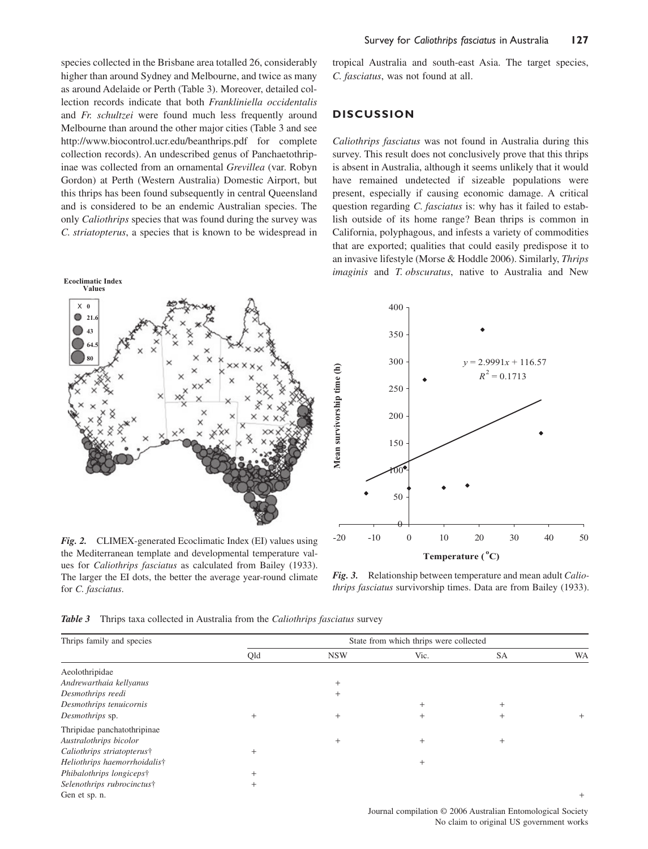species collected in the Brisbane area totalled 26, considerably higher than around Sydney and Melbourne, and twice as many as around Adelaide or Perth (Table 3). Moreover, detailed collection records indicate that both *Frankliniella occidentalis* and *Fr. schultzei* were found much less frequently around Melbourne than around the other major cities (Table 3 and see <http://www.biocontrol.ucr.edu/beanthrips.pdf> for complete collection records). An undescribed genus of Panchaetothripinae was collected from an ornamental *Grevillea* (var. Robyn Gordon) at Perth (Western Australia) Domestic Airport, but this thrips has been found subsequently in central Queensland and is considered to be an endemic Australian species. The only *Caliothrips* species that was found during the survey was *C. striatopterus*, a species that is known to be widespread in



*Fig. 2.* CLIMEX-generated Ecoclimatic Index (EI) values using the Mediterranean template and developmental temperature values for *Caliothrips fasciatus* as calculated from Bailey (1933). The larger the EI dots, the better the average year-round climate for *C. fasciatus*.

tropical Australia and south-east Asia. The target species, *C. fasciatus*, was not found at all.

#### **DISCUSSION**

*Caliothrips fasciatus* was not found in Australia during this survey. This result does not conclusively prove that this thrips is absent in Australia, although it seems unlikely that it would have remained undetected if sizeable populations were present, especially if causing economic damage. A critical question regarding *C. fasciatus* is: why has it failed to establish outside of its home range? Bean thrips is common in California, polyphagous, and infests a variety of commodities that are exported; qualities that could easily predispose it to an invasive lifestyle (Morse & Hoddle 2006). Similarly, *Thrips imaginis* and *T. obscuratus*, native to Australia and New



*Fig. 3.* Relationship between temperature and mean adult *Calio-*

*Table 3* Thrips taxa collected in Australia from the *Caliothrips fasciatus* survey

| Thrips family and species            | State from which thrips were collected |                |        |           |           |  |  |
|--------------------------------------|----------------------------------------|----------------|--------|-----------|-----------|--|--|
|                                      | Qld                                    | <b>NSW</b>     | Vic.   | <b>SA</b> | <b>WA</b> |  |  |
| Aeolothripidae                       |                                        |                |        |           |           |  |  |
| Andrewarthaia kellyanus              |                                        | $^{+}$         |        |           |           |  |  |
| Desmothrips reedi                    |                                        | $^{+}$         |        |           |           |  |  |
| Desmothrips tenuicornis              |                                        |                | $^{+}$ | $^{+}$    |           |  |  |
| Desmothrips sp.                      | $^{+}$                                 | $\overline{+}$ |        |           | $^{+}$    |  |  |
| Thripidae panchatothripinae          |                                        |                |        |           |           |  |  |
| Australothrips bicolor               |                                        | $^{+}$         |        | $^{+}$    |           |  |  |
| Caliothrips striatopterus†           | $^{+}$                                 |                |        |           |           |  |  |
| Heliothrips haemorrhoidalist         |                                        |                | $^{+}$ |           |           |  |  |
| Phibalothrips longiceps <sup>+</sup> | $\pm$                                  |                |        |           |           |  |  |
| Selenothrips rubrocinctus†           | $^+$                                   |                |        |           |           |  |  |
| Gen et sp. n.                        |                                        |                |        |           |           |  |  |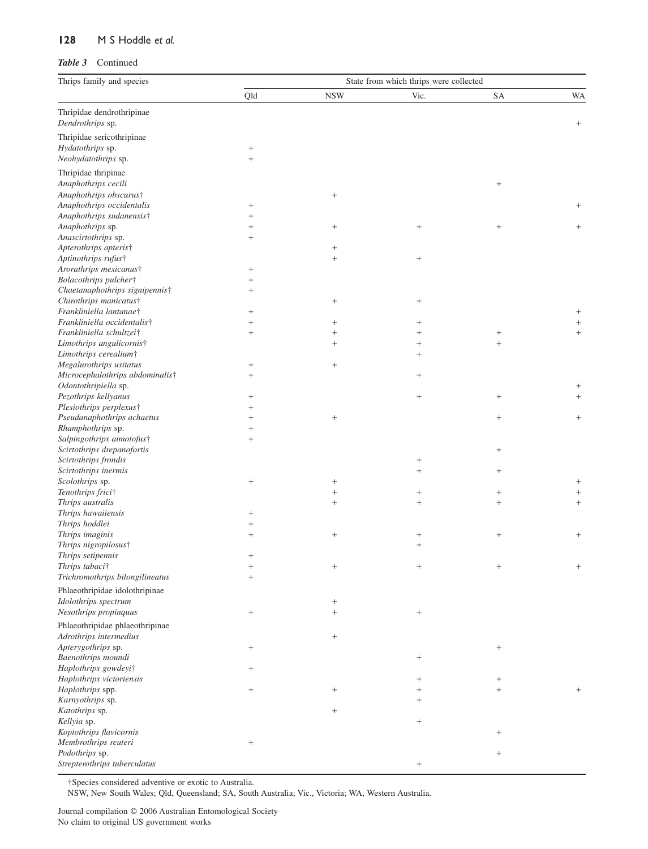# **128** M S Hoddle *et al.*

#### *Table 3* Continued

| Thrips family and species                       | State from which thrips were collected |                                  |                 |                 |                 |  |  |
|-------------------------------------------------|----------------------------------------|----------------------------------|-----------------|-----------------|-----------------|--|--|
|                                                 | Qld                                    | <b>NSW</b>                       | Vic.            | SA              | <b>WA</b>       |  |  |
| Thripidae dendrothripinae<br>Dendrothrips sp.   |                                        |                                  |                 |                 | $\! + \!\!\!\!$ |  |  |
| Thripidae sericothripinae                       |                                        |                                  |                 |                 |                 |  |  |
| Hydatothrips sp.                                | $\begin{array}{c} + \end{array}$       |                                  |                 |                 |                 |  |  |
| Neohydatothrips sp.                             | $^{+}$                                 |                                  |                 |                 |                 |  |  |
| Thripidae thripinae                             |                                        |                                  |                 |                 |                 |  |  |
| Anaphothrips cecili                             |                                        |                                  |                 | $^{+}$          |                 |  |  |
| Anaphothrips obscurus†                          |                                        | $\! + \!\!\!\!$                  |                 |                 |                 |  |  |
| Anaphothrips occidentalis                       | $\! + \!\!\!\!$                        |                                  |                 |                 |                 |  |  |
| Anaphothrips sudanensis†                        | $^{+}$                                 |                                  |                 |                 |                 |  |  |
| Anaphothrips sp.                                | $^{+}$                                 | $\! + \!$                        | $^{+}$          | $^{+}$          | $^+$            |  |  |
| Anascirtothrips sp.                             | $^{+}$                                 |                                  |                 |                 |                 |  |  |
| Apterothrips apteris†                           |                                        | $^{+}$                           |                 |                 |                 |  |  |
| Aptinothrips rufus†                             |                                        | $^{+}$                           | $^{+}$          |                 |                 |  |  |
| Arorathrips mexicanus†                          | $\! + \!\!\!\!$                        |                                  |                 |                 |                 |  |  |
| Bolacothrips pulcher†                           | $^{+}$                                 |                                  |                 |                 |                 |  |  |
| Chaetanaphothrips signipennis†                  | $^{+}$                                 |                                  |                 |                 |                 |  |  |
| Chirothrips manicatus†                          |                                        | $^{+}$                           | $^{+}$          |                 |                 |  |  |
| Frankliniella lantanae†                         | $^{+}$                                 |                                  |                 |                 |                 |  |  |
| Frankliniella occidentalist                     | $^{+}$                                 | $^{+}$                           | $^{+}$          |                 | $^+$            |  |  |
| Frankliniella schultzei†                        | $+$                                    | $+$                              | $^{+}$          | $^{+}$          | $+$             |  |  |
| Limothrips angulicornis†                        |                                        | $+$                              | $^{+}$          | $^{+}$          |                 |  |  |
| Limothrips cerealium†                           |                                        |                                  | $^{+}$          |                 |                 |  |  |
| Megalurothrips usitatus                         | $\! + \!\!\!\!$                        | $^{+}$                           |                 |                 |                 |  |  |
| Microcephalothrips abdominalist                 | $^{+}$                                 |                                  | $\! + \!\!\!\!$ |                 |                 |  |  |
| Odontothripiella sp.                            |                                        |                                  |                 |                 | $^{+}$          |  |  |
| Pezothrips kellyanus<br>Plesiothrips perplexus† | $^{+}$<br>$^{+}$                       |                                  | $^{+}$          | $^{+}$          |                 |  |  |
| Pseudanaphothrips achaetus                      | $^{+}$                                 | $\! + \!\!\!\!$                  |                 | $^{+}$          | $\! + \!\!\!\!$ |  |  |
| Rhamphothrips sp.                               | $^{+}$                                 |                                  |                 |                 |                 |  |  |
| Salpingothrips aimotofus <sup>+</sup>           | $^{+}$                                 |                                  |                 |                 |                 |  |  |
| Scirtothrips drepanofortis                      |                                        |                                  |                 | $^{+}$          |                 |  |  |
| Scirtothrips frondis                            |                                        |                                  | $^{+}$          |                 |                 |  |  |
| Scirtothrips inermis                            |                                        |                                  | $^{+}$          | $^{+}$          |                 |  |  |
| Scolothrips sp.                                 | $^{+}$                                 | $^{+}$                           |                 |                 |                 |  |  |
| Tenothrips fricit                               |                                        | $^{+}$                           | $^{+}$          | $^+$            | $^{+}$          |  |  |
| Thrips australis                                |                                        | $\! +$                           | $^{+}$          | $\! +$          | $\! + \!\!\!\!$ |  |  |
| Thrips hawaiiensis                              | $^{+}$                                 |                                  |                 |                 |                 |  |  |
| Thrips hoddlei                                  | $\! + \!\!\!\!$                        |                                  |                 |                 |                 |  |  |
| Thrips imaginis                                 | $^{+}$                                 | $\! + \!\!\!\!$                  | $^{+}$          | $^{+}$          | $\! + \!\!\!\!$ |  |  |
| Thrips nigropilosus†                            |                                        |                                  | $^{+}$          |                 |                 |  |  |
| Thrips setipennis                               | $^{+}$                                 |                                  |                 |                 |                 |  |  |
| Thrips tabaci <sup>†</sup>                      | $^{+}$                                 | $^+$                             |                 |                 |                 |  |  |
| Trichromothrips bilongilineatus                 |                                        |                                  |                 |                 |                 |  |  |
| Phlaeothripidae idolothripinae                  |                                        |                                  |                 |                 |                 |  |  |
| Idolothrips spectrum                            |                                        | $\begin{array}{c} + \end{array}$ |                 |                 |                 |  |  |
| Nesothrips propinquus                           | $\! + \!\!\!\!$                        | $^{+}$                           |                 |                 |                 |  |  |
| Phlaeothripidae phlaeothripinae                 |                                        |                                  |                 |                 |                 |  |  |
| Adrothrips intermedius                          |                                        | $\! + \!\!\!\!$                  |                 |                 |                 |  |  |
| Apterygothrips sp.                              | $\! + \!\!\!\!$                        |                                  |                 | $\! + \!\!\!\!$ |                 |  |  |
| Baenothrips moundi                              |                                        |                                  | $\! + \!\!\!\!$ |                 |                 |  |  |
| Haplothrips gowdeyi <sup>+</sup>                | $^{+}$                                 |                                  |                 |                 |                 |  |  |
| Haplothrips victoriensis                        |                                        |                                  | $^+$            | $^{+}$          |                 |  |  |
| Haplothrips spp.                                | $\! + \!\!\!\!$                        | $^{+}$                           | $^{+}$          | $+$             | $+$             |  |  |
| Karnyothrips sp.                                |                                        |                                  | $^{+}$          |                 |                 |  |  |
| Katothrips sp.                                  |                                        | $\! + \!\!\!\!$                  |                 |                 |                 |  |  |
| Kellyia sp.                                     |                                        |                                  | $\! + \!\!\!\!$ |                 |                 |  |  |
| Koptothrips flavicornis                         |                                        |                                  |                 | $^{+}$          |                 |  |  |
| Membrothrips reuteri                            | $^+$                                   |                                  |                 |                 |                 |  |  |
| Podothrips sp.                                  |                                        |                                  |                 | $^{+}$          |                 |  |  |
| Strepterothrips tuberculatus                    |                                        |                                  | $^{+}$          |                 |                 |  |  |

†Species considered adventive or exotic to Australia.

NSW, New South Wales; Qld, Queensland; SA, South Australia; Vic., Victoria; WA, Western Australia.

Journal compilation © 2006 Australian Entomological Society No claim to original US government works